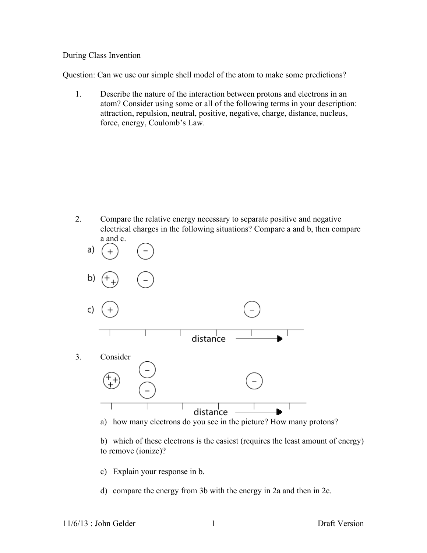## During Class Invention

Question: Can we use our simple shell model of the atom to make some predictions?

1. Describe the nature of the interaction between protons and electrons in an atom? Consider using some or all of the following terms in your description: attraction, repulsion, neutral, positive, negative, charge, distance, nucleus, force, energy, Coulomb's Law.

2. Compare the relative energy necessary to separate positive and negative electrical charges in the following situations? Compare a and b, then compare a and c.



a) how many electrons do you see in the picture? How many protons?

b) which of these electrons is the easiest (requires the least amount of energy) to remove (ionize)?

- c) Explain your response in b.
- d) compare the energy from 3b with the energy in 2a and then in 2c.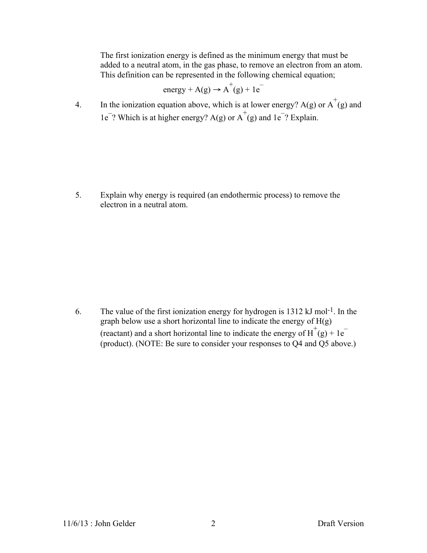The first ionization energy is defined as the minimum energy that must be added to a neutral atom, in the gas phase, to remove an electron from an atom. This definition can be represented in the following chemical equation;

energy + A(g) 
$$
\rightarrow
$$
 A<sup>+</sup>(g) + 1e<sup>-</sup>

4. In the ionization equation above, which is at lower energy? A(g) or  $A^+(g)$  and  $1e^-$ ? Which is at higher energy? A(g) or  $A^+(g)$  and  $1e^-$ ? Explain.

5. Explain why energy is required (an endothermic process) to remove the electron in a neutral atom.

6. The value of the first ionization energy for hydrogen is 1312 kJ mol-1. In the graph below use a short horizontal line to indicate the energy of H(g) (reactant) and a short horizontal line to indicate the energy of  $H^+(g) + 1e^-$ (product). (NOTE: Be sure to consider your responses to Q4 and Q5 above.)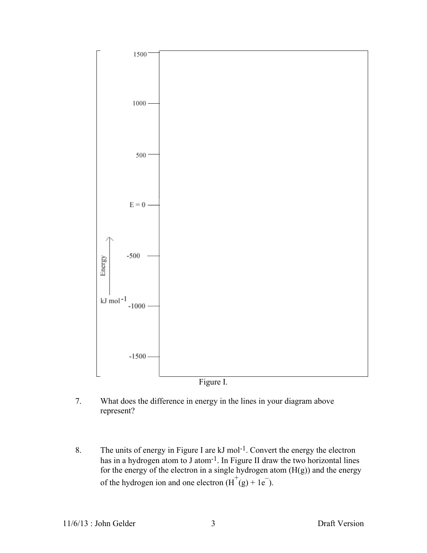

7. What does the difference in energy in the lines in your diagram above represent?

8. The units of energy in Figure I are kJ mol<sup>-1</sup>. Convert the energy the electron has in a hydrogen atom to J atom<sup>-1</sup>. In Figure II draw the two horizontal lines for the energy of the electron in a single hydrogen atom  $(H(g))$  and the energy of the hydrogen ion and one electron  $(H^+(g) + 1e^-)$ .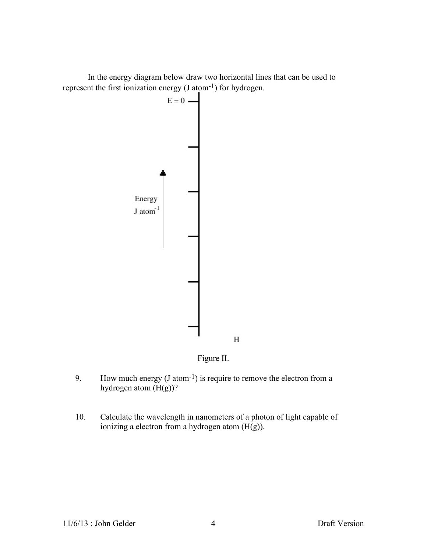In the energy diagram below draw two horizontal lines that can be used to represent the first ionization energy (J atom-1) for hydrogen.



Figure II.

- 9. How much energy  $(J \text{ atom}^{-1})$  is require to remove the electron from a hydrogen atom  $(H(g))$ ?
- 10. Calculate the wavelength in nanometers of a photon of light capable of ionizing a electron from a hydrogen atom (H(g)).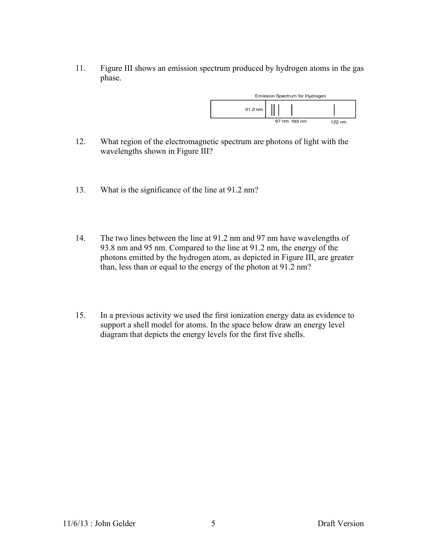11. Figure III shows an emission spectrum produced by hydrogen atoms in the gas phase.



- 12. What region of the electromagnetic spectrum are photons of light with the wavelengths shown in Figure III?
- 13. What is the significance of the line at 91.2 nm?
- 14. The two lines between the line at 91.2 nm and 97 nm have wavelengths of 93.8 nm and 95 nm. Compared to the line at 91.2 nm, the energy of the photons emitted by the hydrogen atom, as depicted in Figure III, are greater than, less than or equal to the energy of the photon at 91.2 nm?
- 15. In a previous activity we used the first ionization energy data as evidence to support a shell model for atoms. In the space below draw an energy level diagram that depicts the energy levels for the first five shells.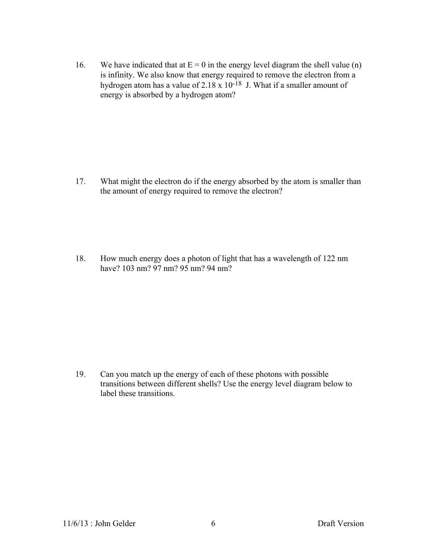16. We have indicated that at  $E = 0$  in the energy level diagram the shell value (n) is infinity. We also know that energy required to remove the electron from a hydrogen atom has a value of  $2.18 \times 10^{-18}$  J. What if a smaller amount of energy is absorbed by a hydrogen atom?

17. What might the electron do if the energy absorbed by the atom is smaller than the amount of energy required to remove the electron?

18. How much energy does a photon of light that has a wavelength of 122 nm have? 103 nm? 97 nm? 95 nm? 94 nm?

19. Can you match up the energy of each of these photons with possible transitions between different shells? Use the energy level diagram below to label these transitions.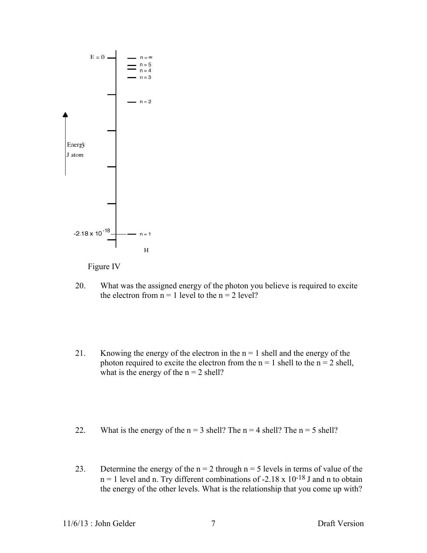



- 20. What was the assigned energy of the photon you believe is required to excite the electron from  $n = 1$  level to the  $n = 2$  level?
- 21. Knowing the energy of the electron in the  $n = 1$  shell and the energy of the photon required to excite the electron from the  $n = 1$  shell to the  $n = 2$  shell, what is the energy of the  $n = 2$  shell?
- 22. What is the energy of the  $n = 3$  shell? The  $n = 4$  shell? The  $n = 5$  shell?
- 23. Determine the energy of the  $n = 2$  through  $n = 5$  levels in terms of value of the  $n = 1$  level and n. Try different combinations of -2.18 x 10<sup>-18</sup> J and n to obtain the energy of the other levels. What is the relationship that you come up with?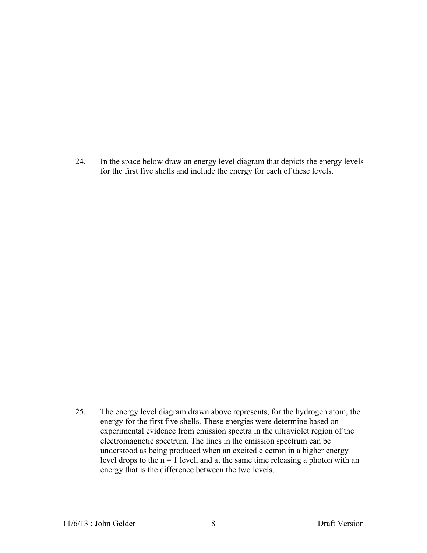24. In the space below draw an energy level diagram that depicts the energy levels for the first five shells and include the energy for each of these levels.

25. The energy level diagram drawn above represents, for the hydrogen atom, the energy for the first five shells. These energies were determine based on experimental evidence from emission spectra in the ultraviolet region of the electromagnetic spectrum. The lines in the emission spectrum can be understood as being produced when an excited electron in a higher energy level drops to the  $n = 1$  level, and at the same time releasing a photon with an energy that is the difference between the two levels.